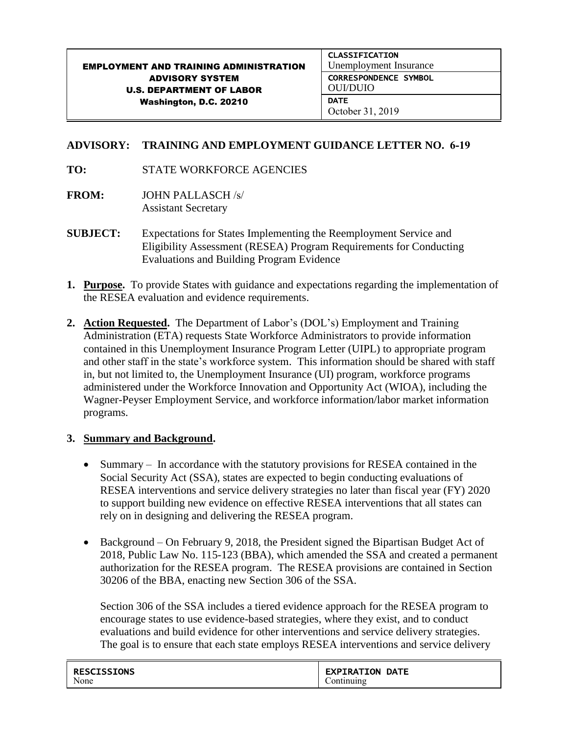#### EMPLOYMENT AND TRAINING ADMINISTRATION ADVISORY SYSTEM U.S. DEPARTMENT OF LABOR Washington, D.C. 20210 CLASSIFICATION Unemployment Insurance CORRESPONDENCE SYMBOL OUI/DUIO **DATE** October 31, 2019

# **ADVISORY: TRAINING AND EMPLOYMENT GUIDANCE LETTER NO. 6-19**

#### **TO:** STATE WORKFORCE AGENCIES

- **FROM:** JOHN PALLASCH /s/ Assistant Secretary
- **SUBJECT:** Expectations for States Implementing the Reemployment Service and Eligibility Assessment (RESEA) Program Requirements for Conducting Evaluations and Building Program Evidence
- **1. Purpose.** To provide States with guidance and expectations regarding the implementation of the RESEA evaluation and evidence requirements.
- **2. Action Requested.** The Department of Labor's (DOL's) Employment and Training Administration (ETA) requests State Workforce Administrators to provide information contained in this Unemployment Insurance Program Letter (UIPL) to appropriate program and other staff in the state's workforce system. This information should be shared with staff in, but not limited to, the Unemployment Insurance (UI) program, workforce programs administered under the Workforce Innovation and Opportunity Act (WIOA), including the Wagner-Peyser Employment Service, and workforce information/labor market information programs.

## **3. Summary and Background.**

- Summary In accordance with the statutory provisions for RESEA contained in the Social Security Act (SSA), states are expected to begin conducting evaluations of RESEA interventions and service delivery strategies no later than fiscal year (FY) 2020 to support building new evidence on effective RESEA interventions that all states can rely on in designing and delivering the RESEA program.
- Background On February 9, 2018, the President signed the Bipartisan Budget Act of 2018, Public Law No. 115-123 (BBA), which amended the SSA and created a permanent authorization for the RESEA program. The RESEA provisions are contained in Section 30206 of the BBA, enacting new Section 306 of the SSA.

Section 306 of the SSA includes a tiered evidence approach for the RESEA program to encourage states to use evidence-based strategies, where they exist, and to conduct evaluations and build evidence for other interventions and service delivery strategies. The goal is to ensure that each state employs RESEA interventions and service delivery

| <b>RESCISSIONS</b> | <b>EXPIRATION DATE</b> |
|--------------------|------------------------|
| None               | ontinuing              |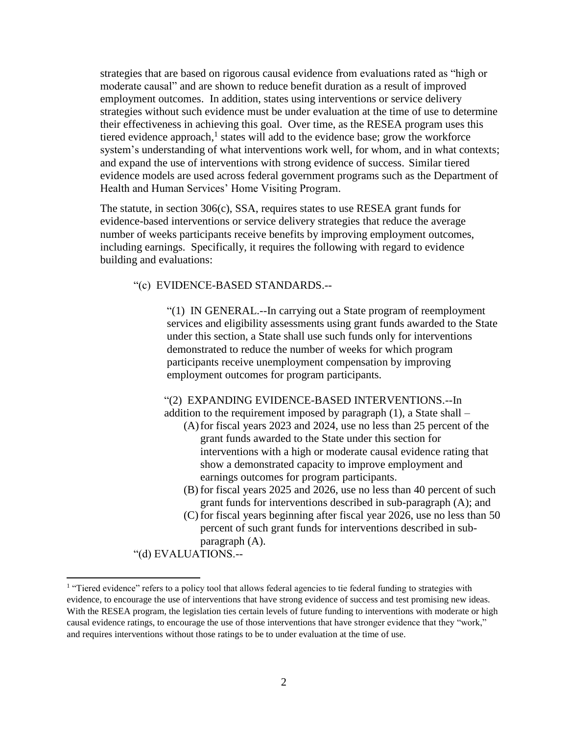strategies that are based on rigorous causal evidence from evaluations rated as "high or moderate causal" and are shown to reduce benefit duration as a result of improved employment outcomes. In addition, states using interventions or service delivery strategies without such evidence must be under evaluation at the time of use to determine their effectiveness in achieving this goal. Over time, as the RESEA program uses this tiered evidence approach,<sup>1</sup> states will add to the evidence base; grow the workforce system's understanding of what interventions work well, for whom, and in what contexts; and expand the use of interventions with strong evidence of success. Similar tiered evidence models are used across federal government programs such as the Department of Health and Human Services' Home Visiting Program.

The statute, in section 306(c), SSA, requires states to use RESEA grant funds for evidence-based interventions or service delivery strategies that reduce the average number of weeks participants receive benefits by improving employment outcomes, including earnings. Specifically, it requires the following with regard to evidence building and evaluations:

#### "(c) EVIDENCE-BASED STANDARDS.--

"(1) IN GENERAL.--In carrying out a State program of reemployment services and eligibility assessments using grant funds awarded to the State under this section, a State shall use such funds only for interventions demonstrated to reduce the number of weeks for which program participants receive unemployment compensation by improving employment outcomes for program participants.

### "(2) EXPANDING EVIDENCE-BASED INTERVENTIONS.--In addition to the requirement imposed by paragraph (1), a State shall –

- (A)for fiscal years 2023 and 2024, use no less than 25 percent of the grant funds awarded to the State under this section for interventions with a high or moderate causal evidence rating that show a demonstrated capacity to improve employment and earnings outcomes for program participants.
- (B) for fiscal years 2025 and 2026, use no less than 40 percent of such grant funds for interventions described in sub-paragraph (A); and
- (C) for fiscal years beginning after fiscal year 2026, use no less than 50 percent of such grant funds for interventions described in subparagraph (A).

"(d) EVALUATIONS.--

l

<sup>&</sup>lt;sup>1</sup> "Tiered evidence" refers to a policy tool that allows federal agencies to tie federal funding to strategies with evidence, to encourage the use of interventions that have strong evidence of success and test promising new ideas. With the RESEA program, the legislation ties certain levels of future funding to interventions with moderate or high causal evidence ratings, to encourage the use of those interventions that have stronger evidence that they "work," and requires interventions without those ratings to be to under evaluation at the time of use.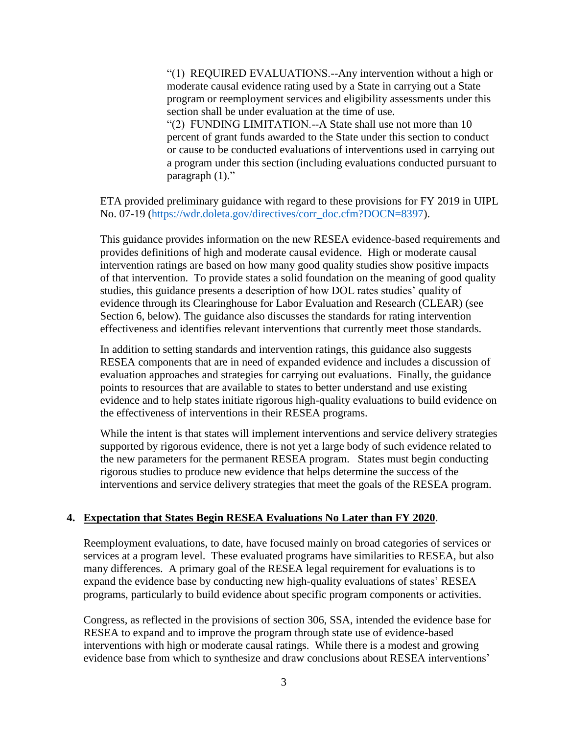"(1) REQUIRED EVALUATIONS.--Any intervention without a high or moderate causal evidence rating used by a State in carrying out a State program or reemployment services and eligibility assessments under this section shall be under evaluation at the time of use. "(2) FUNDING LIMITATION.--A State shall use not more than 10 percent of grant funds awarded to the State under this section to conduct or cause to be conducted evaluations of interventions used in carrying out a program under this section (including evaluations conducted pursuant to paragraph  $(1)$ ."

ETA provided preliminary guidance with regard to these provisions for FY 2019 in UIPL No. 07-19 [\(https://wdr.doleta.gov/directives/corr\\_doc.cfm?DOCN=8397\)](https://wdr.doleta.gov/directives/corr_doc.cfm?DOCN=8397).

This guidance provides information on the new RESEA evidence-based requirements and provides definitions of high and moderate causal evidence. High or moderate causal intervention ratings are based on how many good quality studies show positive impacts of that intervention. To provide states a solid foundation on the meaning of good quality studies, this guidance presents a description of how DOL rates studies' quality of evidence through its Clearinghouse for Labor Evaluation and Research (CLEAR) (see Section 6, below). The guidance also discusses the standards for rating intervention effectiveness and identifies relevant interventions that currently meet those standards.

In addition to setting standards and intervention ratings, this guidance also suggests RESEA components that are in need of expanded evidence and includes a discussion of evaluation approaches and strategies for carrying out evaluations. Finally, the guidance points to resources that are available to states to better understand and use existing evidence and to help states initiate rigorous high-quality evaluations to build evidence on the effectiveness of interventions in their RESEA programs.

While the intent is that states will implement interventions and service delivery strategies supported by rigorous evidence, there is not yet a large body of such evidence related to the new parameters for the permanent RESEA program. States must begin conducting rigorous studies to produce new evidence that helps determine the success of the interventions and service delivery strategies that meet the goals of the RESEA program.

#### **4. Expectation that States Begin RESEA Evaluations No Later than FY 2020**.

Reemployment evaluations, to date, have focused mainly on broad categories of services or services at a program level. These evaluated programs have similarities to RESEA, but also many differences. A primary goal of the RESEA legal requirement for evaluations is to expand the evidence base by conducting new high-quality evaluations of states' RESEA programs, particularly to build evidence about specific program components or activities.

Congress, as reflected in the provisions of section 306, SSA, intended the evidence base for RESEA to expand and to improve the program through state use of evidence-based interventions with high or moderate causal ratings. While there is a modest and growing evidence base from which to synthesize and draw conclusions about RESEA interventions'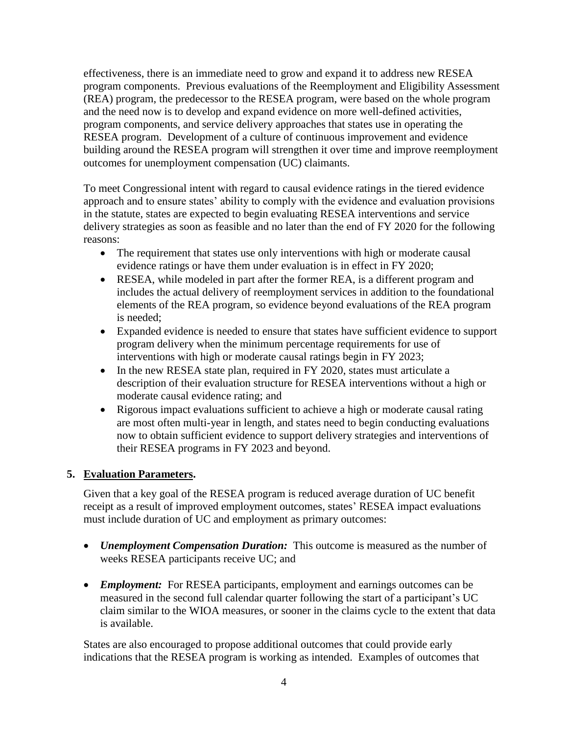effectiveness, there is an immediate need to grow and expand it to address new RESEA program components. Previous evaluations of the Reemployment and Eligibility Assessment (REA) program, the predecessor to the RESEA program, were based on the whole program and the need now is to develop and expand evidence on more well-defined activities, program components, and service delivery approaches that states use in operating the RESEA program. Development of a culture of continuous improvement and evidence building around the RESEA program will strengthen it over time and improve reemployment outcomes for unemployment compensation (UC) claimants.

To meet Congressional intent with regard to causal evidence ratings in the tiered evidence approach and to ensure states' ability to comply with the evidence and evaluation provisions in the statute, states are expected to begin evaluating RESEA interventions and service delivery strategies as soon as feasible and no later than the end of FY 2020 for the following reasons:

- The requirement that states use only interventions with high or moderate causal evidence ratings or have them under evaluation is in effect in FY 2020;
- RESEA, while modeled in part after the former REA, is a different program and includes the actual delivery of reemployment services in addition to the foundational elements of the REA program, so evidence beyond evaluations of the REA program is needed;
- Expanded evidence is needed to ensure that states have sufficient evidence to support program delivery when the minimum percentage requirements for use of interventions with high or moderate causal ratings begin in FY 2023;
- In the new RESEA state plan, required in FY 2020, states must articulate a description of their evaluation structure for RESEA interventions without a high or moderate causal evidence rating; and
- Rigorous impact evaluations sufficient to achieve a high or moderate causal rating are most often multi-year in length, and states need to begin conducting evaluations now to obtain sufficient evidence to support delivery strategies and interventions of their RESEA programs in FY 2023 and beyond.

# **5. Evaluation Parameters.**

Given that a key goal of the RESEA program is reduced average duration of UC benefit receipt as a result of improved employment outcomes, states' RESEA impact evaluations must include duration of UC and employment as primary outcomes:

- *Unemployment Compensation Duration:* This outcome is measured as the number of weeks RESEA participants receive UC; and
- *Employment:* For RESEA participants, employment and earnings outcomes can be measured in the second full calendar quarter following the start of a participant's UC claim similar to the WIOA measures, or sooner in the claims cycle to the extent that data is available.

States are also encouraged to propose additional outcomes that could provide early indications that the RESEA program is working as intended. Examples of outcomes that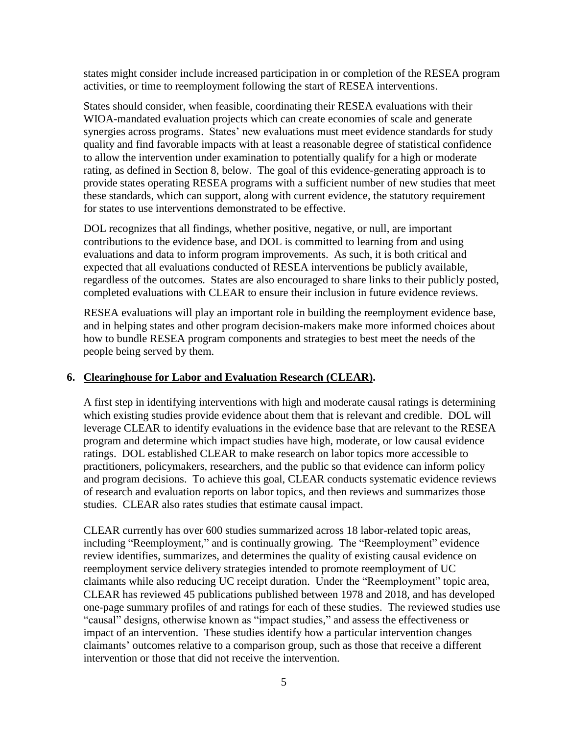states might consider include increased participation in or completion of the RESEA program activities, or time to reemployment following the start of RESEA interventions.

States should consider, when feasible, coordinating their RESEA evaluations with their WIOA-mandated evaluation projects which can create economies of scale and generate synergies across programs. States' new evaluations must meet evidence standards for study quality and find favorable impacts with at least a reasonable degree of statistical confidence to allow the intervention under examination to potentially qualify for a high or moderate rating, as defined in Section 8, below. The goal of this evidence-generating approach is to provide states operating RESEA programs with a sufficient number of new studies that meet these standards, which can support, along with current evidence, the statutory requirement for states to use interventions demonstrated to be effective.

DOL recognizes that all findings, whether positive, negative, or null, are important contributions to the evidence base, and DOL is committed to learning from and using evaluations and data to inform program improvements. As such, it is both critical and expected that all evaluations conducted of RESEA interventions be publicly available, regardless of the outcomes. States are also encouraged to share links to their publicly posted, completed evaluations with CLEAR to ensure their inclusion in future evidence reviews.

RESEA evaluations will play an important role in building the reemployment evidence base, and in helping states and other program decision-makers make more informed choices about how to bundle RESEA program components and strategies to best meet the needs of the people being served by them.

## **6. Clearinghouse for Labor and Evaluation Research (CLEAR).**

A first step in identifying interventions with high and moderate causal ratings is determining which existing studies provide evidence about them that is relevant and credible. DOL will leverage CLEAR to identify evaluations in the evidence base that are relevant to the RESEA program and determine which impact studies have high, moderate, or low causal evidence ratings. DOL established CLEAR to make research on labor topics more accessible to practitioners, policymakers, researchers, and the public so that evidence can inform policy and program decisions. To achieve this goal, CLEAR conducts systematic evidence reviews of research and evaluation reports on labor topics, and then reviews and summarizes those studies. CLEAR also rates studies that estimate causal impact.

CLEAR currently has over 600 studies summarized across 18 labor-related topic areas, including "Reemployment," and is continually growing. The "Reemployment" evidence review identifies, summarizes, and determines the quality of existing causal evidence on reemployment service delivery strategies intended to promote reemployment of UC claimants while also reducing UC receipt duration. Under the "Reemployment" topic area, CLEAR has reviewed 45 publications published between 1978 and 2018, and has developed one-page summary profiles of and ratings for each of these studies. The reviewed studies use "causal" designs, otherwise known as "impact studies," and assess the effectiveness or impact of an intervention. These studies identify how a particular intervention changes claimants' outcomes relative to a comparison group, such as those that receive a different intervention or those that did not receive the intervention.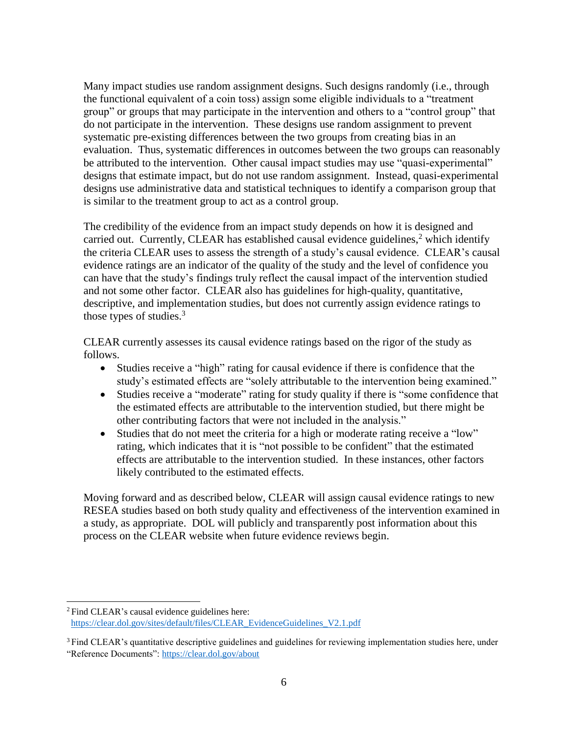Many impact studies use random assignment designs. Such designs randomly (i.e., through the functional equivalent of a coin toss) assign some eligible individuals to a "treatment group" or groups that may participate in the intervention and others to a "control group" that do not participate in the intervention. These designs use random assignment to prevent systematic pre-existing differences between the two groups from creating bias in an evaluation. Thus, systematic differences in outcomes between the two groups can reasonably be attributed to the intervention. Other causal impact studies may use "quasi-experimental" designs that estimate impact, but do not use random assignment. Instead, quasi-experimental designs use administrative data and statistical techniques to identify a comparison group that is similar to the treatment group to act as a control group.

The credibility of the evidence from an impact study depends on how it is designed and carried out. Currently, CLEAR has established causal evidence guidelines,<sup>2</sup> which identify the criteria CLEAR uses to assess the strength of a study's causal evidence. CLEAR's causal evidence ratings are an indicator of the quality of the study and the level of confidence you can have that the study's findings truly reflect the causal impact of the intervention studied and not some other factor. CLEAR also has guidelines for high-quality, quantitative, descriptive, and implementation studies, but does not currently assign evidence ratings to those types of studies.<sup>3</sup>

CLEAR currently assesses its causal evidence ratings based on the rigor of the study as follows.

- Studies receive a "high" rating for causal evidence if there is confidence that the study's estimated effects are "solely attributable to the intervention being examined."
- Studies receive a "moderate" rating for study quality if there is "some confidence that the estimated effects are attributable to the intervention studied, but there might be other contributing factors that were not included in the analysis."
- Studies that do not meet the criteria for a high or moderate rating receive a "low" rating, which indicates that it is "not possible to be confident" that the estimated effects are attributable to the intervention studied. In these instances, other factors likely contributed to the estimated effects.

Moving forward and as described below, CLEAR will assign causal evidence ratings to new RESEA studies based on both study quality and effectiveness of the intervention examined in a study, as appropriate. DOL will publicly and transparently post information about this process on the CLEAR website when future evidence reviews begin.

 $\overline{\phantom{a}}$ 

<sup>2</sup> Find CLEAR's causal evidence guidelines here: [https://clear.dol.gov/sites/default/files/CLEAR\\_EvidenceGuidelines\\_V2.1.pdf](https://clear.dol.gov/sites/default/files/CLEAR_EvidenceGuidelines_V2.1.pdf)

<sup>&</sup>lt;sup>3</sup> Find CLEAR's quantitative descriptive guidelines and guidelines for reviewing implementation studies here, under "Reference Documents"[: https://clear.dol.gov/about](https://clear.dol.gov/about)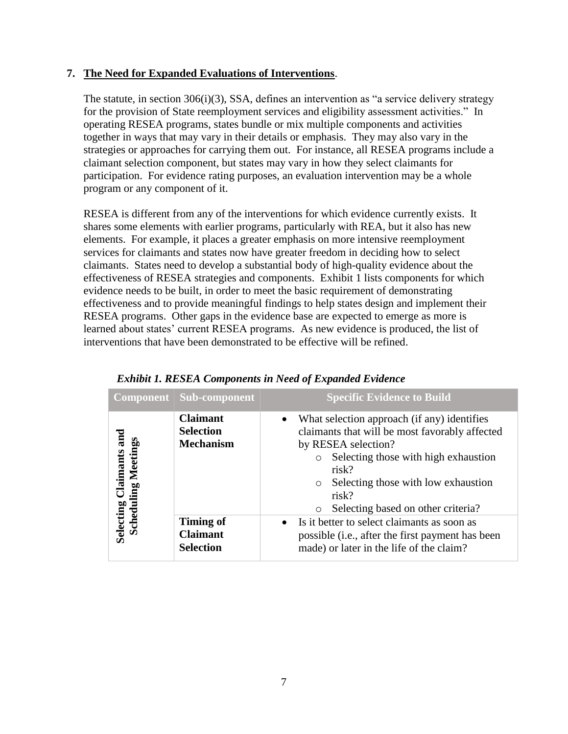## **7. The Need for Expanded Evaluations of Interventions**.

The statute, in section 306(i)(3), SSA, defines an intervention as "a service delivery strategy for the provision of State reemployment services and eligibility assessment activities." In operating RESEA programs, states bundle or mix multiple components and activities together in ways that may vary in their details or emphasis. They may also vary in the strategies or approaches for carrying them out. For instance, all RESEA programs include a claimant selection component, but states may vary in how they select claimants for participation. For evidence rating purposes, an evaluation intervention may be a whole program or any component of it.

RESEA is different from any of the interventions for which evidence currently exists. It shares some elements with earlier programs, particularly with REA, but it also has new elements. For example, it places a greater emphasis on more intensive reemployment services for claimants and states now have greater freedom in deciding how to select claimants. States need to develop a substantial body of high-quality evidence about the effectiveness of RESEA strategies and components. Exhibit 1 lists components for which evidence needs to be built, in order to meet the basic requirement of demonstrating effectiveness and to provide meaningful findings to help states design and implement their RESEA programs. Other gaps in the evidence base are expected to emerge as more is learned about states' current RESEA programs. As new evidence is produced, the list of interventions that have been demonstrated to be effective will be refined.

|                               | <b>Component</b>   Sub-component                        | <b>Specific Evidence to Build</b>                                                                                                                                                                                                                                                 |
|-------------------------------|---------------------------------------------------------|-----------------------------------------------------------------------------------------------------------------------------------------------------------------------------------------------------------------------------------------------------------------------------------|
| Claimants and<br>ing Meetings | <b>Claimant</b><br><b>Selection</b><br><b>Mechanism</b> | What selection approach (if any) identifies<br>claimants that will be most favorably affected<br>by RESEA selection?<br>Selecting those with high exhaustion<br>risk?<br>Selecting those with low exhaustion<br>$\circ$<br>risk?<br>Selecting based on other criteria?<br>$\circ$ |
| Selecting (<br>Schedul        | <b>Timing of</b><br><b>Claimant</b><br><b>Selection</b> | Is it better to select claimants as soon as<br>$\bullet$<br>possible (i.e., after the first payment has been<br>made) or later in the life of the claim?                                                                                                                          |

| Exhibit 1. RESEA Components in Need of Expanded Evidence |  |  |  |  |
|----------------------------------------------------------|--|--|--|--|
|----------------------------------------------------------|--|--|--|--|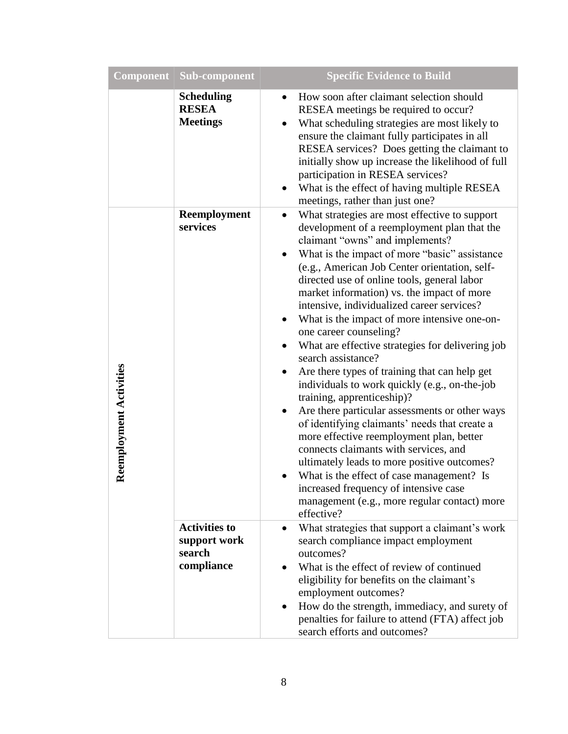| <b>Component</b>        | Sub-component                                                | <b>Specific Evidence to Build</b>                                                                                                                                                                                                                                                                                                                                                                                                                                                                                                                                                                                                                                                                                                                                                                                                                                                                                                                                                                                                                                                                                         |
|-------------------------|--------------------------------------------------------------|---------------------------------------------------------------------------------------------------------------------------------------------------------------------------------------------------------------------------------------------------------------------------------------------------------------------------------------------------------------------------------------------------------------------------------------------------------------------------------------------------------------------------------------------------------------------------------------------------------------------------------------------------------------------------------------------------------------------------------------------------------------------------------------------------------------------------------------------------------------------------------------------------------------------------------------------------------------------------------------------------------------------------------------------------------------------------------------------------------------------------|
|                         | <b>Scheduling</b><br><b>RESEA</b><br><b>Meetings</b>         | How soon after claimant selection should<br>$\bullet$<br>RESEA meetings be required to occur?<br>What scheduling strategies are most likely to<br>ensure the claimant fully participates in all<br>RESEA services? Does getting the claimant to<br>initially show up increase the likelihood of full<br>participation in RESEA services?<br>What is the effect of having multiple RESEA<br>$\bullet$<br>meetings, rather than just one?                                                                                                                                                                                                                                                                                                                                                                                                                                                                                                                                                                                                                                                                                   |
| Reemployment Activities | Reemployment<br>services                                     | What strategies are most effective to support<br>$\bullet$<br>development of a reemployment plan that the<br>claimant "owns" and implements?<br>What is the impact of more "basic" assistance<br>$\bullet$<br>(e.g., American Job Center orientation, self-<br>directed use of online tools, general labor<br>market information) vs. the impact of more<br>intensive, individualized career services?<br>What is the impact of more intensive one-on-<br>٠<br>one career counseling?<br>What are effective strategies for delivering job<br>$\bullet$<br>search assistance?<br>Are there types of training that can help get<br>٠<br>individuals to work quickly (e.g., on-the-job<br>training, apprenticeship)?<br>Are there particular assessments or other ways<br>of identifying claimants' needs that create a<br>more effective reemployment plan, better<br>connects claimants with services, and<br>ultimately leads to more positive outcomes?<br>What is the effect of case management? Is<br>$\bullet$<br>increased frequency of intensive case<br>management (e.g., more regular contact) more<br>effective? |
|                         | <b>Activities to</b><br>support work<br>search<br>compliance | What strategies that support a claimant's work<br>search compliance impact employment<br>outcomes?<br>What is the effect of review of continued<br>eligibility for benefits on the claimant's<br>employment outcomes?<br>How do the strength, immediacy, and surety of<br>penalties for failure to attend (FTA) affect job<br>search efforts and outcomes?                                                                                                                                                                                                                                                                                                                                                                                                                                                                                                                                                                                                                                                                                                                                                                |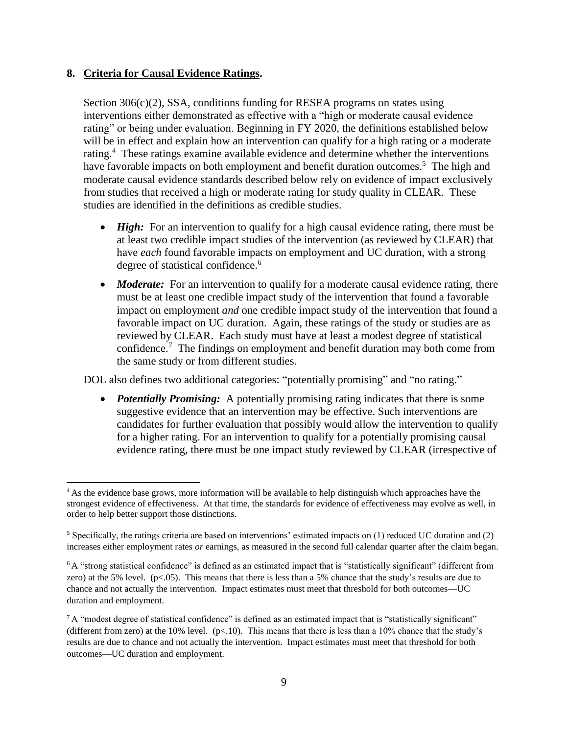### **8. Criteria for Causal Evidence Ratings.**

Section 306(c)(2), SSA, conditions funding for RESEA programs on states using interventions either demonstrated as effective with a "high or moderate causal evidence rating" or being under evaluation. Beginning in FY 2020, the definitions established below will be in effect and explain how an intervention can qualify for a high rating or a moderate rating.<sup>4</sup> These ratings examine available evidence and determine whether the interventions have favorable impacts on both employment and benefit duration outcomes.<sup>5</sup> The high and moderate causal evidence standards described below rely on evidence of impact exclusively from studies that received a high or moderate rating for study quality in CLEAR. These studies are identified in the definitions as credible studies.

- *High:* For an intervention to qualify for a high causal evidence rating, there must be at least two credible impact studies of the intervention (as reviewed by CLEAR) that have *each* found favorable impacts on employment and UC duration, with a strong degree of statistical confidence. 6
- *Moderate:* For an intervention to qualify for a moderate causal evidence rating, there must be at least one credible impact study of the intervention that found a favorable impact on employment *and* one credible impact study of the intervention that found a favorable impact on UC duration. Again, these ratings of the study or studies are as reviewed by CLEAR. Each study must have at least a modest degree of statistical confidence.<sup>7</sup> The findings on employment and benefit duration may both come from the same study or from different studies.

DOL also defines two additional categories: "potentially promising" and "no rating."

• *Potentially Promising:* A potentially promising rating indicates that there is some suggestive evidence that an intervention may be effective. Such interventions are candidates for further evaluation that possibly would allow the intervention to qualify for a higher rating. For an intervention to qualify for a potentially promising causal evidence rating, there must be one impact study reviewed by CLEAR (irrespective of

 $\overline{a}$ <sup>4</sup> As the evidence base grows, more information will be available to help distinguish which approaches have the strongest evidence of effectiveness. At that time, the standards for evidence of effectiveness may evolve as well, in order to help better support those distinctions.

<sup>&</sup>lt;sup>5</sup> Specifically, the ratings criteria are based on interventions' estimated impacts on  $(1)$  reduced UC duration and  $(2)$ increases either employment rates *or* earnings, as measured in the second full calendar quarter after the claim began.

<sup>&</sup>lt;sup>6</sup> A "strong statistical confidence" is defined as an estimated impact that is "statistically significant" (different from zero) at the 5% level.  $(p<.05)$ . This means that there is less than a 5% chance that the study's results are due to chance and not actually the intervention. Impact estimates must meet that threshold for both outcomes—UC duration and employment.

 $7A$  "modest degree of statistical confidence" is defined as an estimated impact that is "statistically significant" (different from zero) at the  $10\%$  level. (p<.10). This means that there is less than a  $10\%$  chance that the study's results are due to chance and not actually the intervention. Impact estimates must meet that threshold for both outcomes—UC duration and employment.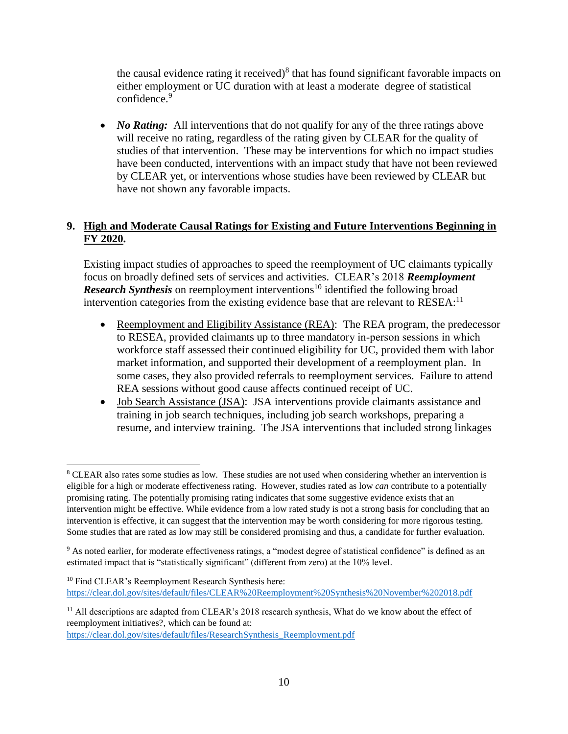the causal evidence rating it received) $8$  that has found significant favorable impacts on either employment or UC duration with at least a moderate degree of statistical confidence.<sup>9</sup>

• *No Rating:* All interventions that do not qualify for any of the three ratings above will receive no rating, regardless of the rating given by CLEAR for the quality of studies of that intervention. These may be interventions for which no impact studies have been conducted, interventions with an impact study that have not been reviewed by CLEAR yet, or interventions whose studies have been reviewed by CLEAR but have not shown any favorable impacts.

# **9. High and Moderate Causal Ratings for Existing and Future Interventions Beginning in FY 2020.**

Existing impact studies of approaches to speed the reemployment of UC claimants typically focus on broadly defined sets of services and activities. CLEAR's 2018 *Reemployment Research Synthesis* on reemployment interventions<sup>10</sup> identified the following broad intervention categories from the existing evidence base that are relevant to RESEA:<sup>11</sup>

- Reemployment and Eligibility Assistance (REA): The REA program, the predecessor to RESEA, provided claimants up to three mandatory in‐person sessions in which workforce staff assessed their continued eligibility for UC, provided them with labor market information, and supported their development of a reemployment plan. In some cases, they also provided referrals to reemployment services. Failure to attend REA sessions without good cause affects continued receipt of UC.
- Job Search Assistance (JSA): JSA interventions provide claimants assistance and training in job search techniques, including job search workshops, preparing a resume, and interview training. The JSA interventions that included strong linkages

[https://clear.dol.gov/sites/default/files/ResearchSynthesis\\_Reemployment.pdf](https://clear.dol.gov/sites/default/files/ResearchSynthesis_Reemployment.pdf)

 $\overline{\phantom{a}}$ <sup>8</sup> CLEAR also rates some studies as low. These studies are not used when considering whether an intervention is eligible for a high or moderate effectiveness rating. However, studies rated as low *can* contribute to a potentially promising rating. The potentially promising rating indicates that some suggestive evidence exists that an intervention might be effective. While evidence from a low rated study is not a strong basis for concluding that an intervention is effective, it can suggest that the intervention may be worth considering for more rigorous testing. Some studies that are rated as low may still be considered promising and thus, a candidate for further evaluation.

<sup>&</sup>lt;sup>9</sup> As noted earlier, for moderate effectiveness ratings, a "modest degree of statistical confidence" is defined as an estimated impact that is "statistically significant" (different from zero) at the 10% level.

<sup>&</sup>lt;sup>10</sup> Find CLEAR's Reemployment Research Synthesis here: <https://clear.dol.gov/sites/default/files/CLEAR%20Reemployment%20Synthesis%20November%202018.pdf>

<sup>&</sup>lt;sup>11</sup> All descriptions are adapted from CLEAR's 2018 research synthesis, What do we know about the effect of reemployment initiatives?, which can be found at: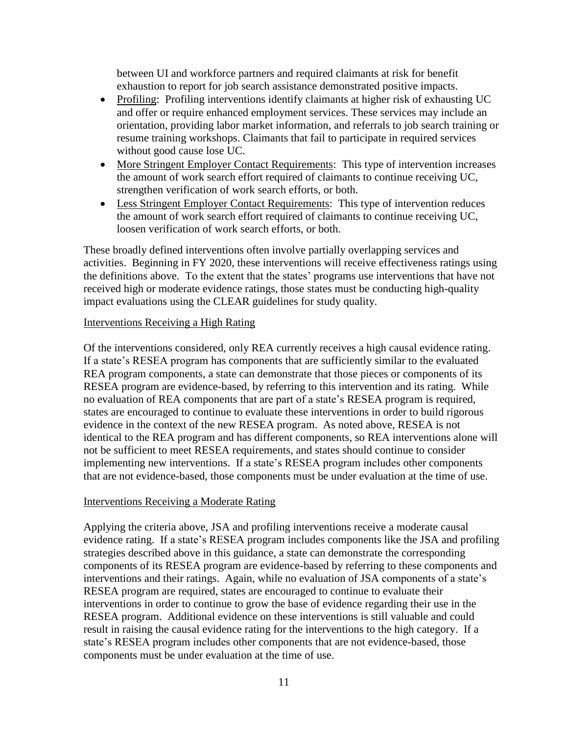between UI and workforce partners and required claimants at risk for benefit exhaustion to report for job search assistance demonstrated positive impacts.

- Profiling: Profiling interventions identify claimants at higher risk of exhausting UC and offer or require enhanced employment services. These services may include an orientation, providing labor market information, and referrals to job search training or resume training workshops. Claimants that fail to participate in required services without good cause lose UC.
- More Stringent Employer Contact Requirements: This type of intervention increases the amount of work search effort required of claimants to continue receiving UC, strengthen verification of work search efforts, or both.
- Less Stringent Employer Contact Requirements: This type of intervention reduces the amount of work search effort required of claimants to continue receiving UC, loosen verification of work search efforts, or both.

These broadly defined interventions often involve partially overlapping services and activities. Beginning in FY 2020, these interventions will receive effectiveness ratings using the definitions above. To the extent that the states' programs use interventions that have not received high or moderate evidence ratings, those states must be conducting high-quality impact evaluations using the CLEAR guidelines for study quality.

#### Interventions Receiving a High Rating

Of the interventions considered, only REA currently receives a high causal evidence rating. If a state's RESEA program has components that are sufficiently similar to the evaluated REA program components, a state can demonstrate that those pieces or components of its RESEA program are evidence-based, by referring to this intervention and its rating. While no evaluation of REA components that are part of a state's RESEA program is required, states are encouraged to continue to evaluate these interventions in order to build rigorous evidence in the context of the new RESEA program. As noted above, RESEA is not identical to the REA program and has different components, so REA interventions alone will not be sufficient to meet RESEA requirements, and states should continue to consider implementing new interventions. If a state's RESEA program includes other components that are not evidence-based, those components must be under evaluation at the time of use.

### Interventions Receiving a Moderate Rating

Applying the criteria above, JSA and profiling interventions receive a moderate causal evidence rating. If a state's RESEA program includes components like the JSA and profiling strategies described above in this guidance, a state can demonstrate the corresponding components of its RESEA program are evidence-based by referring to these components and interventions and their ratings. Again, while no evaluation of JSA components of a state's RESEA program are required, states are encouraged to continue to evaluate their interventions in order to continue to grow the base of evidence regarding their use in the RESEA program. Additional evidence on these interventions is still valuable and could result in raising the causal evidence rating for the interventions to the high category. If a state's RESEA program includes other components that are not evidence-based, those components must be under evaluation at the time of use.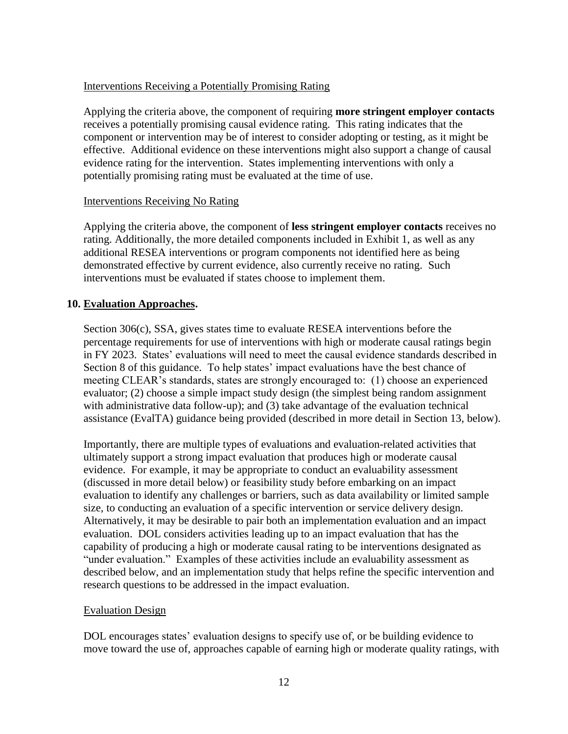## Interventions Receiving a Potentially Promising Rating

Applying the criteria above, the component of requiring **more stringent employer contacts** receives a potentially promising causal evidence rating. This rating indicates that the component or intervention may be of interest to consider adopting or testing, as it might be effective. Additional evidence on these interventions might also support a change of causal evidence rating for the intervention. States implementing interventions with only a potentially promising rating must be evaluated at the time of use.

### Interventions Receiving No Rating

Applying the criteria above, the component of **less stringent employer contacts** receives no rating. Additionally, the more detailed components included in Exhibit 1, as well as any additional RESEA interventions or program components not identified here as being demonstrated effective by current evidence, also currently receive no rating. Such interventions must be evaluated if states choose to implement them.

### **10. Evaluation Approaches.**

Section 306(c), SSA, gives states time to evaluate RESEA interventions before the percentage requirements for use of interventions with high or moderate causal ratings begin in FY 2023. States' evaluations will need to meet the causal evidence standards described in Section 8 of this guidance. To help states' impact evaluations have the best chance of meeting CLEAR's standards, states are strongly encouraged to: (1) choose an experienced evaluator; (2) choose a simple impact study design (the simplest being random assignment with administrative data follow-up); and (3) take advantage of the evaluation technical assistance (EvalTA) guidance being provided (described in more detail in Section 13, below).

Importantly, there are multiple types of evaluations and evaluation-related activities that ultimately support a strong impact evaluation that produces high or moderate causal evidence. For example, it may be appropriate to conduct an evaluability assessment (discussed in more detail below) or feasibility study before embarking on an impact evaluation to identify any challenges or barriers, such as data availability or limited sample size, to conducting an evaluation of a specific intervention or service delivery design. Alternatively, it may be desirable to pair both an implementation evaluation and an impact evaluation. DOL considers activities leading up to an impact evaluation that has the capability of producing a high or moderate causal rating to be interventions designated as "under evaluation." Examples of these activities include an evaluability assessment as described below, and an implementation study that helps refine the specific intervention and research questions to be addressed in the impact evaluation.

### Evaluation Design

DOL encourages states' evaluation designs to specify use of, or be building evidence to move toward the use of, approaches capable of earning high or moderate quality ratings, with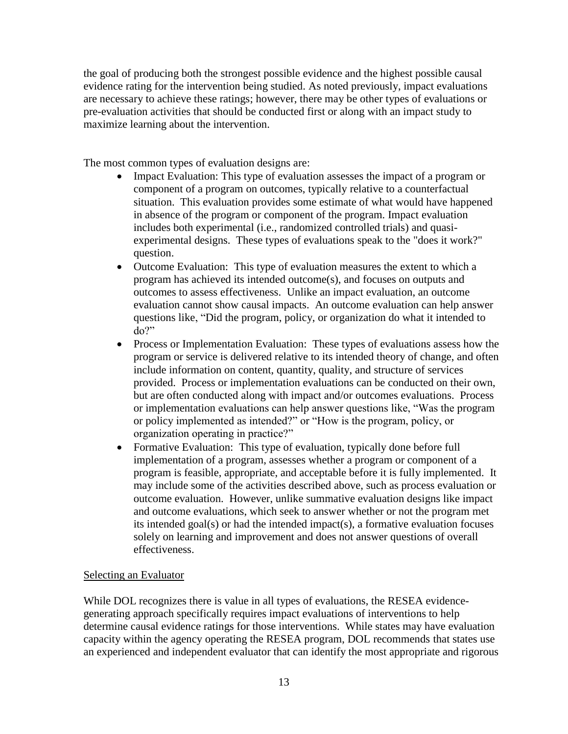the goal of producing both the strongest possible evidence and the highest possible causal evidence rating for the intervention being studied. As noted previously, impact evaluations are necessary to achieve these ratings; however, there may be other types of evaluations or pre-evaluation activities that should be conducted first or along with an impact study to maximize learning about the intervention.

The most common types of evaluation designs are:

- Impact Evaluation: This type of evaluation assesses the impact of a program or component of a program on outcomes, typically relative to a counterfactual situation. This evaluation provides some estimate of what would have happened in absence of the program or component of the program. Impact evaluation includes both experimental (i.e., randomized controlled trials) and quasiexperimental designs. These types of evaluations speak to the "does it work?" question.
- Outcome Evaluation: This type of evaluation measures the extent to which a program has achieved its intended outcome(s), and focuses on outputs and outcomes to assess effectiveness. Unlike an impact evaluation, an outcome evaluation cannot show causal impacts. An outcome evaluation can help answer questions like, "Did the program, policy, or organization do what it intended to do?"
- Process or Implementation Evaluation: These types of evaluations assess how the program or service is delivered relative to its intended theory of change, and often include information on content, quantity, quality, and structure of services provided. Process or implementation evaluations can be conducted on their own, but are often conducted along with impact and/or outcomes evaluations. Process or implementation evaluations can help answer questions like, "Was the program or policy implemented as intended?" or "How is the program, policy, or organization operating in practice?"
- Formative Evaluation: This type of evaluation, typically done before full implementation of a program, assesses whether a program or component of a program is feasible, appropriate, and acceptable before it is fully implemented. It may include some of the activities described above, such as process evaluation or outcome evaluation. However, unlike summative evaluation designs like impact and outcome evaluations, which seek to answer whether or not the program met its intended goal(s) or had the intended impact(s), a formative evaluation focuses solely on learning and improvement and does not answer questions of overall effectiveness.

## Selecting an Evaluator

While DOL recognizes there is value in all types of evaluations, the RESEA evidencegenerating approach specifically requires impact evaluations of interventions to help determine causal evidence ratings for those interventions. While states may have evaluation capacity within the agency operating the RESEA program, DOL recommends that states use an experienced and independent evaluator that can identify the most appropriate and rigorous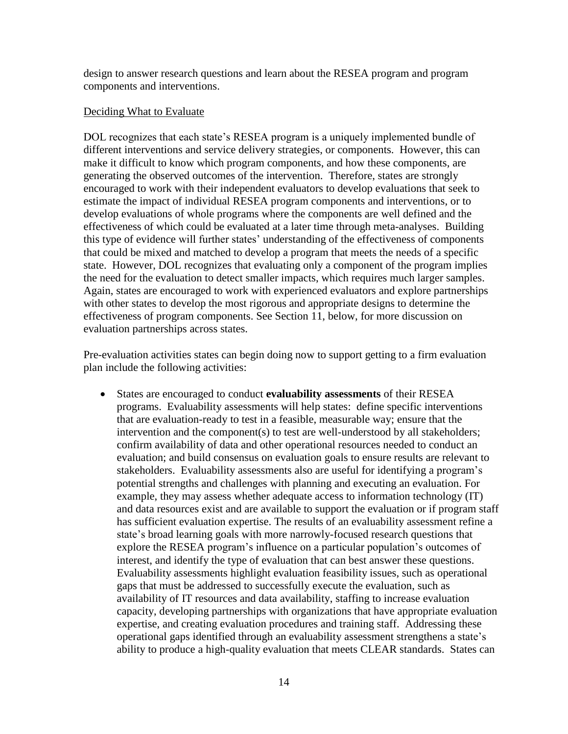design to answer research questions and learn about the RESEA program and program components and interventions.

#### Deciding What to Evaluate

DOL recognizes that each state's RESEA program is a uniquely implemented bundle of different interventions and service delivery strategies, or components. However, this can make it difficult to know which program components, and how these components, are generating the observed outcomes of the intervention. Therefore, states are strongly encouraged to work with their independent evaluators to develop evaluations that seek to estimate the impact of individual RESEA program components and interventions, or to develop evaluations of whole programs where the components are well defined and the effectiveness of which could be evaluated at a later time through meta-analyses. Building this type of evidence will further states' understanding of the effectiveness of components that could be mixed and matched to develop a program that meets the needs of a specific state. However, DOL recognizes that evaluating only a component of the program implies the need for the evaluation to detect smaller impacts, which requires much larger samples. Again, states are encouraged to work with experienced evaluators and explore partnerships with other states to develop the most rigorous and appropriate designs to determine the effectiveness of program components. See Section 11, below, for more discussion on evaluation partnerships across states.

Pre-evaluation activities states can begin doing now to support getting to a firm evaluation plan include the following activities:

 States are encouraged to conduct **evaluability assessments** of their RESEA programs. Evaluability assessments will help states: define specific interventions that are evaluation-ready to test in a feasible, measurable way; ensure that the intervention and the component(s) to test are well-understood by all stakeholders; confirm availability of data and other operational resources needed to conduct an evaluation; and build consensus on evaluation goals to ensure results are relevant to stakeholders. Evaluability assessments also are useful for identifying a program's potential strengths and challenges with planning and executing an evaluation. For example, they may assess whether adequate access to information technology (IT) and data resources exist and are available to support the evaluation or if program staff has sufficient evaluation expertise. The results of an evaluability assessment refine a state's broad learning goals with more narrowly-focused research questions that explore the RESEA program's influence on a particular population's outcomes of interest, and identify the type of evaluation that can best answer these questions. Evaluability assessments highlight evaluation feasibility issues, such as operational gaps that must be addressed to successfully execute the evaluation, such as availability of IT resources and data availability, staffing to increase evaluation capacity, developing partnerships with organizations that have appropriate evaluation expertise, and creating evaluation procedures and training staff. Addressing these operational gaps identified through an evaluability assessment strengthens a state's ability to produce a high-quality evaluation that meets CLEAR standards. States can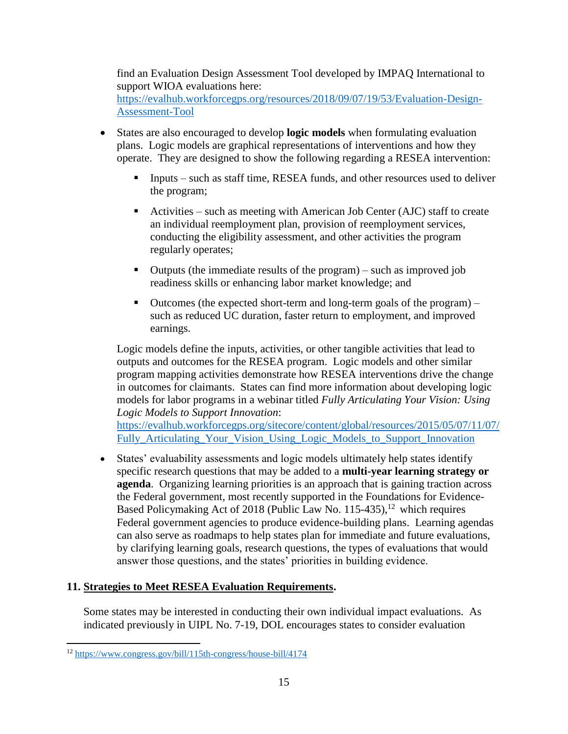find an Evaluation Design Assessment Tool developed by IMPAQ International to support WIOA evaluations here: [https://evalhub.workforcegps.org/resources/2018/09/07/19/53/Evaluation-Design-](https://evalhub.workforcegps.org/resources/2018/09/07/19/53/Evaluation-Design-Assessment-Tool)[Assessment-Tool](https://evalhub.workforcegps.org/resources/2018/09/07/19/53/Evaluation-Design-Assessment-Tool)

- States are also encouraged to develop **logic models** when formulating evaluation plans. Logic models are graphical representations of interventions and how they operate. They are designed to show the following regarding a RESEA intervention:
	- Inputs such as staff time, RESEA funds, and other resources used to deliver the program;
	- Activities such as meeting with American Job Center (AJC) staff to create an individual reemployment plan, provision of reemployment services, conducting the eligibility assessment, and other activities the program regularly operates;
	- Outputs (the immediate results of the program) such as improved job readiness skills or enhancing labor market knowledge; and
	- $\blacksquare$  Outcomes (the expected short-term and long-term goals of the program) such as reduced UC duration, faster return to employment, and improved earnings.

Logic models define the inputs, activities, or other tangible activities that lead to outputs and outcomes for the RESEA program. Logic models and other similar program mapping activities demonstrate how RESEA interventions drive the change in outcomes for claimants. States can find more information about developing logic models for labor programs in a webinar titled *Fully Articulating Your Vision: Using Logic Models to Support Innovation*:

[https://evalhub.workforcegps.org/sitecore/content/global/resources/2015/05/07/11/07/](https://evalhub.workforcegps.org/sitecore/content/global/resources/2015/05/07/11/07/Fully_Articulating_Your_Vision_Using_Logic_Models_to_Support_Innovation) Fully Articulating Your Vision Using Logic Models to Support Innovation

 States' evaluability assessments and logic models ultimately help states identify specific research questions that may be added to a **multi-year learning strategy or agenda**. Organizing learning priorities is an approach that is gaining traction across the Federal government, most recently supported in the Foundations for Evidence-Based Policymaking Act of 2018 (Public Law No. 115-435),<sup>12</sup> which requires Federal government agencies to produce evidence-building plans. Learning agendas can also serve as roadmaps to help states plan for immediate and future evaluations, by clarifying learning goals, research questions, the types of evaluations that would answer those questions, and the states' priorities in building evidence.

# **11. Strategies to Meet RESEA Evaluation Requirements.**

Some states may be interested in conducting their own individual impact evaluations. As indicated previously in UIPL No. 7-19, DOL encourages states to consider evaluation

 $\overline{a}$ <sup>12</sup> <https://www.congress.gov/bill/115th-congress/house-bill/4174>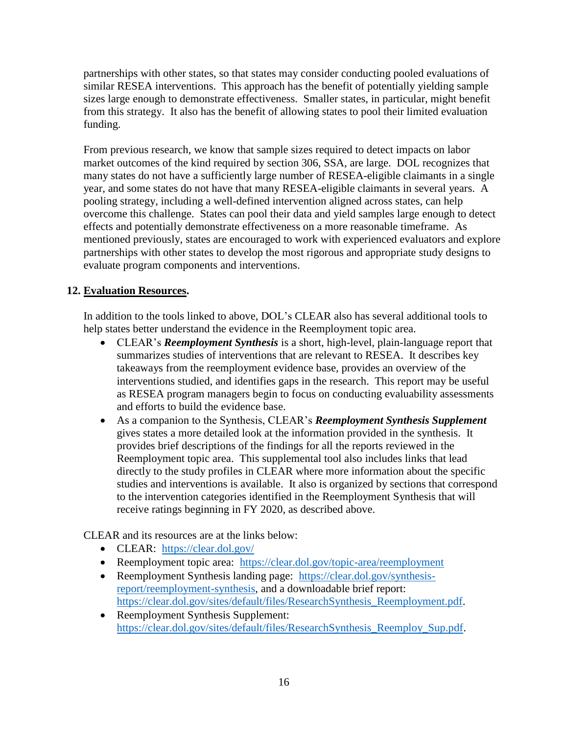partnerships with other states, so that states may consider conducting pooled evaluations of similar RESEA interventions. This approach has the benefit of potentially yielding sample sizes large enough to demonstrate effectiveness. Smaller states, in particular, might benefit from this strategy. It also has the benefit of allowing states to pool their limited evaluation funding.

From previous research, we know that sample sizes required to detect impacts on labor market outcomes of the kind required by section 306, SSA, are large. DOL recognizes that many states do not have a sufficiently large number of RESEA-eligible claimants in a single year, and some states do not have that many RESEA-eligible claimants in several years. A pooling strategy, including a well-defined intervention aligned across states, can help overcome this challenge. States can pool their data and yield samples large enough to detect effects and potentially demonstrate effectiveness on a more reasonable timeframe. As mentioned previously, states are encouraged to work with experienced evaluators and explore partnerships with other states to develop the most rigorous and appropriate study designs to evaluate program components and interventions.

# **12. Evaluation Resources.**

In addition to the tools linked to above, DOL's CLEAR also has several additional tools to help states better understand the evidence in the Reemployment topic area.

- CLEAR's *Reemployment Synthesis* is a short, high-level, plain-language report that summarizes studies of interventions that are relevant to RESEA. It describes key takeaways from the reemployment evidence base, provides an overview of the interventions studied, and identifies gaps in the research. This report may be useful as RESEA program managers begin to focus on conducting evaluability assessments and efforts to build the evidence base.
- As a companion to the Synthesis, CLEAR's *Reemployment Synthesis Supplement* gives states a more detailed look at the information provided in the synthesis. It provides brief descriptions of the findings for all the reports reviewed in the Reemployment topic area. This supplemental tool also includes links that lead directly to the study profiles in CLEAR where more information about the specific studies and interventions is available. It also is organized by sections that correspond to the intervention categories identified in the Reemployment Synthesis that will receive ratings beginning in FY 2020, as described above.

CLEAR and its resources are at the links below:

- CLEAR: <https://clear.dol.gov/>
- Reemployment topic area: <https://clear.dol.gov/topic-area/reemployment>
- Reemployment Synthesis landing page: [https://clear.dol.gov/synthesis](https://clear.dol.gov/synthesis-report/reemployment-synthesis)[report/reemployment-synthesis,](https://clear.dol.gov/synthesis-report/reemployment-synthesis) and a downloadable brief report: [https://clear.dol.gov/sites/default/files/ResearchSynthesis\\_Reemployment.pdf.](https://clear.dol.gov/sites/default/files/ResearchSynthesis_Reemployment.pdf)
- Reemployment Synthesis Supplement: [https://clear.dol.gov/sites/default/files/ResearchSynthesis\\_Reemploy\\_Sup.pdf.](https://clear.dol.gov/sites/default/files/ResearchSynthesis_Reemploy_Sup.pdf)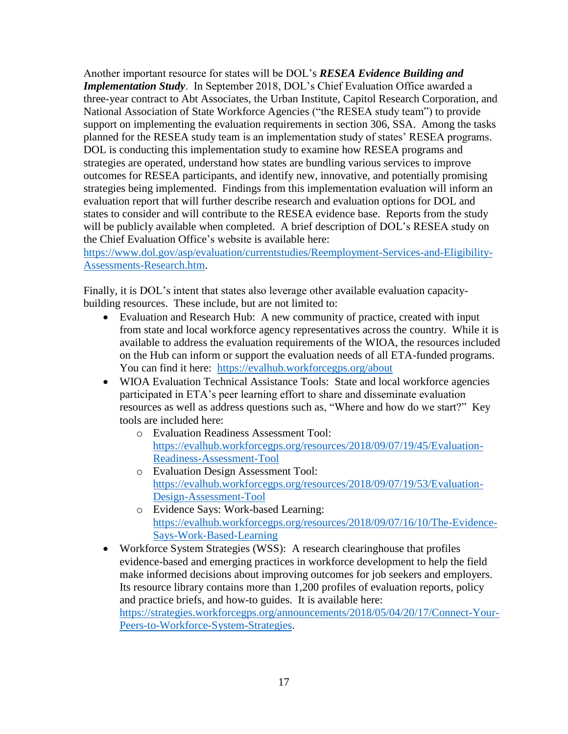Another important resource for states will be DOL's *RESEA Evidence Building and Implementation Study*. In September 2018, DOL's Chief Evaluation Office awarded a three-year contract to Abt Associates, the Urban Institute, Capitol Research Corporation, and National Association of State Workforce Agencies ("the RESEA study team") to provide support on implementing the evaluation requirements in section 306, SSA. Among the tasks planned for the RESEA study team is an implementation study of states' RESEA programs. DOL is conducting this implementation study to examine how RESEA programs and strategies are operated, understand how states are bundling various services to improve outcomes for RESEA participants, and identify new, innovative, and potentially promising strategies being implemented. Findings from this implementation evaluation will inform an evaluation report that will further describe research and evaluation options for DOL and states to consider and will contribute to the RESEA evidence base. Reports from the study will be publicly available when completed. A brief description of DOL's RESEA study on the Chief Evaluation Office's website is available here:

[https://www.dol.gov/asp/evaluation/currentstudies/Reemployment-Services-and-Eligibility-](https://www.dol.gov/asp/evaluation/currentstudies/Reemployment-Services-and-Eligibility-Assessments-Research.htm)[Assessments-Research.htm.](https://www.dol.gov/asp/evaluation/currentstudies/Reemployment-Services-and-Eligibility-Assessments-Research.htm)

Finally, it is DOL's intent that states also leverage other available evaluation capacitybuilding resources. These include, but are not limited to:

- Evaluation and Research Hub: A new community of practice, created with input from state and local workforce agency representatives across the country. While it is available to address the evaluation requirements of the WIOA, the resources included on the Hub can inform or support the evaluation needs of all ETA-funded programs. You can find it here: <https://evalhub.workforcegps.org/about>
- WIOA Evaluation Technical Assistance Tools: State and local workforce agencies participated in ETA's peer learning effort to share and disseminate evaluation resources as well as address questions such as, "Where and how do we start?" Key tools are included here:
	- o Evaluation Readiness Assessment Tool: [https://evalhub.workforcegps.org/resources/2018/09/07/19/45/Evaluation-](https://evalhub.workforcegps.org/resources/2018/09/07/19/45/Evaluation-Readiness-Assessment-Tool)[Readiness-Assessment-Tool](https://evalhub.workforcegps.org/resources/2018/09/07/19/45/Evaluation-Readiness-Assessment-Tool)
	- o Evaluation Design Assessment Tool: [https://evalhub.workforcegps.org/resources/2018/09/07/19/53/Evaluation-](https://evalhub.workforcegps.org/resources/2018/09/07/19/53/Evaluation-Design-Assessment-Tool)[Design-Assessment-Tool](https://evalhub.workforcegps.org/resources/2018/09/07/19/53/Evaluation-Design-Assessment-Tool)
	- o Evidence Says: Work-based Learning: [https://evalhub.workforcegps.org/resources/2018/09/07/16/10/The-Evidence-](https://evalhub.workforcegps.org/resources/2018/09/07/16/10/The-Evidence-Says-Work-Based-Learning)[Says-Work-Based-Learning](https://evalhub.workforcegps.org/resources/2018/09/07/16/10/The-Evidence-Says-Work-Based-Learning)
- Workforce System Strategies (WSS): A research clearinghouse that profiles evidence-based and emerging practices in workforce development to help the field make informed decisions about improving outcomes for job seekers and employers. Its resource library contains more than 1,200 profiles of evaluation reports, policy and practice briefs, and how-to guides. It is available here: [https://strategies.workforcegps.org/announcements/2018/05/04/20/17/Connect-Your-](https://strategies.workforcegps.org/announcements/2018/05/04/20/17/Connect-Your-Peers-to-Workforce-System-Strategies)[Peers-to-Workforce-System-Strategies.](https://strategies.workforcegps.org/announcements/2018/05/04/20/17/Connect-Your-Peers-to-Workforce-System-Strategies)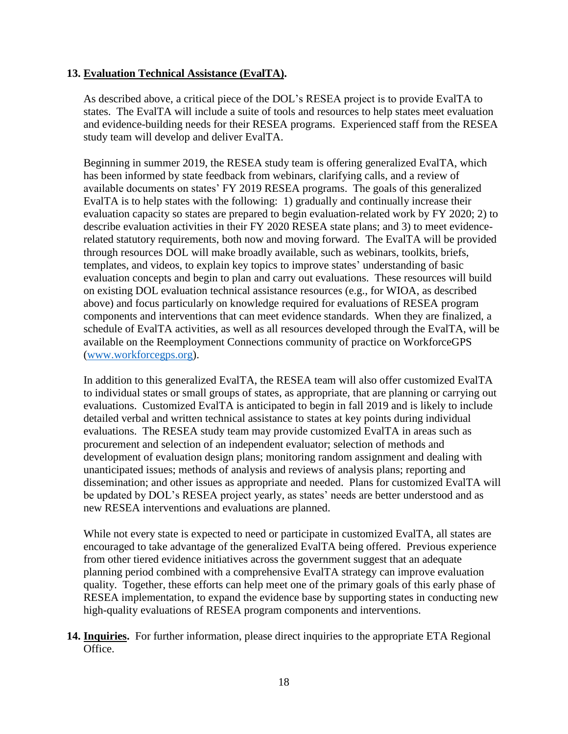## **13. Evaluation Technical Assistance (EvalTA).**

As described above, a critical piece of the DOL's RESEA project is to provide EvalTA to states. The EvalTA will include a suite of tools and resources to help states meet evaluation and evidence-building needs for their RESEA programs. Experienced staff from the RESEA study team will develop and deliver EvalTA.

Beginning in summer 2019, the RESEA study team is offering generalized EvalTA, which has been informed by state feedback from webinars, clarifying calls, and a review of available documents on states' FY 2019 RESEA programs. The goals of this generalized EvalTA is to help states with the following: 1) gradually and continually increase their evaluation capacity so states are prepared to begin evaluation-related work by FY 2020; 2) to describe evaluation activities in their FY 2020 RESEA state plans; and 3) to meet evidencerelated statutory requirements, both now and moving forward. The EvalTA will be provided through resources DOL will make broadly available, such as webinars, toolkits, briefs, templates, and videos, to explain key topics to improve states' understanding of basic evaluation concepts and begin to plan and carry out evaluations. These resources will build on existing DOL evaluation technical assistance resources (e.g., for WIOA, as described above) and focus particularly on knowledge required for evaluations of RESEA program components and interventions that can meet evidence standards. When they are finalized, a schedule of EvalTA activities, as well as all resources developed through the EvalTA, will be available on the Reemployment Connections community of practice on WorkforceGPS [\(www.workforcegps.org\)](http://www.workforcegps.org/).

In addition to this generalized EvalTA, the RESEA team will also offer customized EvalTA to individual states or small groups of states, as appropriate, that are planning or carrying out evaluations. Customized EvalTA is anticipated to begin in fall 2019 and is likely to include detailed verbal and written technical assistance to states at key points during individual evaluations. The RESEA study team may provide customized EvalTA in areas such as procurement and selection of an independent evaluator; selection of methods and development of evaluation design plans; monitoring random assignment and dealing with unanticipated issues; methods of analysis and reviews of analysis plans; reporting and dissemination; and other issues as appropriate and needed. Plans for customized EvalTA will be updated by DOL's RESEA project yearly, as states' needs are better understood and as new RESEA interventions and evaluations are planned.

While not every state is expected to need or participate in customized EvalTA, all states are encouraged to take advantage of the generalized EvalTA being offered. Previous experience from other tiered evidence initiatives across the government suggest that an adequate planning period combined with a comprehensive EvalTA strategy can improve evaluation quality. Together, these efforts can help meet one of the primary goals of this early phase of RESEA implementation, to expand the evidence base by supporting states in conducting new high-quality evaluations of RESEA program components and interventions.

**14. Inquiries.** For further information, please direct inquiries to the appropriate ETA Regional Office.